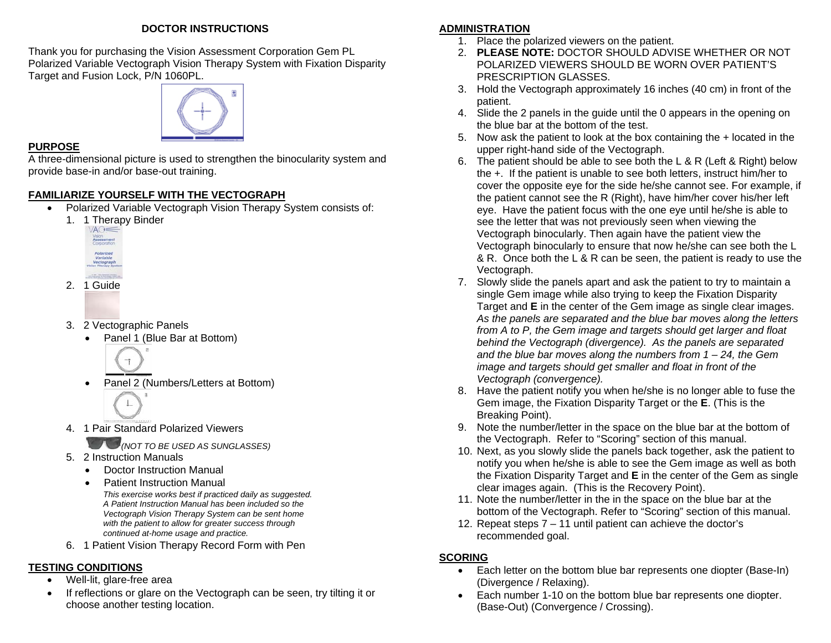#### **DOCTOR INSTRUCTIONS**

Thank you for purchasing the Vision Assessment Corporation Gem PL Polarized Variable Vectograph Vision Therapy System with Fixation Disparity Target and Fusion Lock, P/N 1060PL.



#### **PURPOSE**

A three-dimensional picture is used to strengthen the binocularity system and provide base-in and/or base-out training.

## **FAMILIARIZE YOURSELF WITH THE VECTOGRAPH**

- Polarized Variable Vectograph Vision Therapy System consists of:
	- 1. 1 Therapy Binder



- 2. 1 Guide
- 3. 2 Vectographic Panels

 $\overline{\mathbf{r}}$ 

- Panel 1 (Blue Bar at Bottom)
- Panel 2 (Numbers/Letters at Bottom)



4. 1 Pair Standard Polarized Viewers

*(NOT TO BE USED AS SUNGLASSES)* 

- 5. 2 Instruction Manuals
	- Doctor Instruction Manual
	- *This exercise works best if practiced daily as suggested. A Patient Instruction Manual has been included so the Vectograph Vision Therapy System can be sent home with the patient to allow for greater success through continued at-home usage and practice.* • Patient Instruction Manual
- 6. 1 Patient Vision Therapy Record Form with Pen

# **TESTING CONDITIONS**

- Well-lit, glare-free area
- If reflections or glare on the Vectograph can be seen, try tilting it or choose another testing location.

# **ADMINISTRATION**

- 1. Place the polarized viewers on the patient.
- 2. **PLEASE NOTE:** DOCTOR SHOULD ADVISE WHETHER OR NOT POLARIZED VIEWERS SHOULD BE WORN OVER PATIENT'S PRESCRIPTION GLASSES.
- 3. Hold the Vectograph approximately 16 inches (40 cm) in front of the patient.
- 4. Slide the 2 panels in the guide until the 0 appears in the opening on the blue bar at the bottom of the test.
- 5. Now ask the patient to look at the box containing the + located in the upper right-hand side of the Vectograph.
- 6. The patient should be able to see both the L & R (Left & Right) below the +. If the patient is unable to see both letters, instruct him/her to cover the opposite eye for the side he/she cannot see. For example, if the patient cannot see the R (Right), have him/her cover his/her left eye. Have the patient focus with the one eye until he/she is able to see the letter that was not previously seen when viewing the Vectograph binocularly. Then again have the patient view the Vectograph binocularly to ensure that now he/she can see both the L & R. Once both the L & R can be seen, the patient is ready to use the Vectograph.
- 7. Slowly slide the panels apart and ask the patient to try to maintain a single Gem image while also trying to keep the Fixation Disparity Target and **E** in the center of the Gem image as single clear images. *As the panels are separated and the blue bar moves along the letters from A to P, the Gem image and targets should get larger and float behind the Vectograph (divergence). As the panels are separated and the blue bar moves along the numbers from 1 – 24, the Gem image and targets should get smaller and float in front of the Vectograph (convergence).*
- 8. Have the patient notify you when he/she is no longer able to fuse the Gem image, the Fixation Disparity Target or the **E**. (This is the Breaking Point).
- 9. Note the number/letter in the space on the blue bar at the bottom of the Vectograph. Refer to "Scoring" section of this manual.
- 10. Next, as you slowly slide the panels back together, ask the patient to notify you when he/she is able to see the Gem image as well as both the Fixation Disparity Target and **E** in the center of the Gem as single clear images again. (This is the Recovery Point).
- 11. Note the number/letter in the in the space on the blue bar at the bottom of the Vectograph. Refer to "Scoring" section of this manual.
- 12. Repeat steps 7 11 until patient can achieve the doctor's recommended goal.

# **SCORING**

- Each letter on the bottom blue bar represents one diopter (Base-In) (Divergence / Relaxing).
- Each number 1-10 on the bottom blue bar represents one diopter. (Base-Out) (Convergence / Crossing).